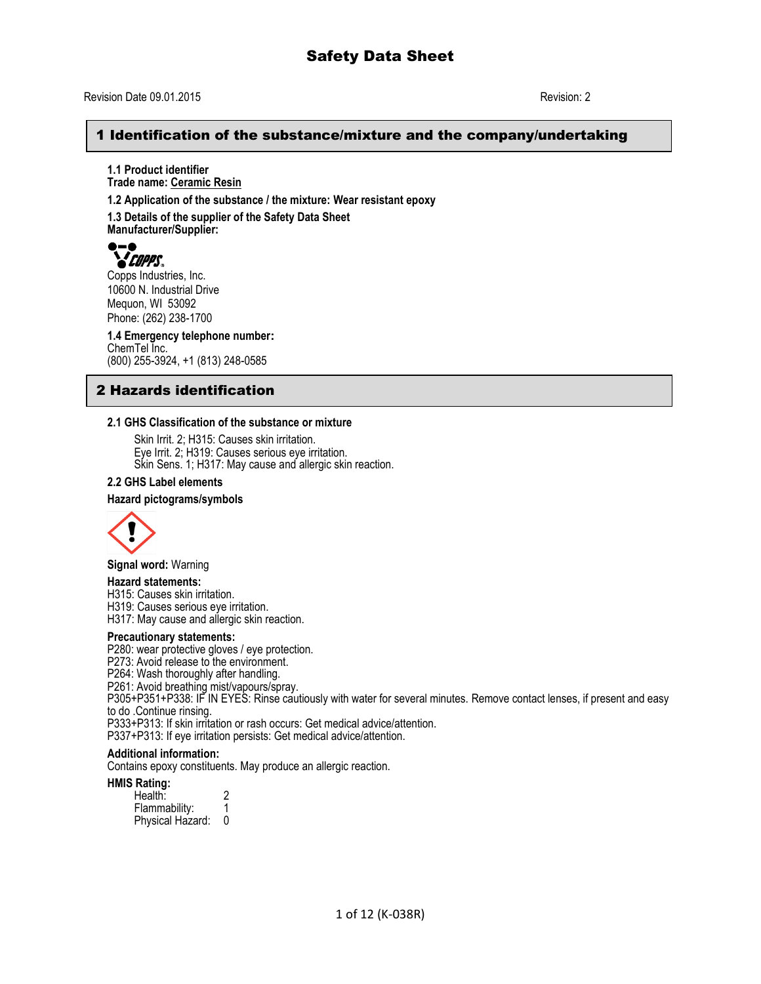## Revision Date 09.01.2015 Revision: 2

## 1 Identification of the substance/mixture and the company/undertaking

**1.1 Product identifier Trade name: Ceramic Resin**

**1.2 Application of the substance / the mixture: Wear resistant epoxy**

**1.3 Details of the supplier of the Safety Data Sheet Manufacturer/Supplier:**



Copps Industries, Inc. 10600 N. Industrial Drive Mequon, WI 53092 Phone: (262) 238-1700

**1.4 Emergency telephone number:** ChemTel Inc. (800) 255-3924, +1 (813) 248-0585

# 2 Hazards identification

### **2.1 GHS Classification of the substance or mixture**

Skin Irrit. 2; H315: Causes skin irritation. Eye Irrit. 2; H319: Causes serious eye irritation. Skin Sens. 1; H317: May cause and allergic skin reaction.

#### **2.2 GHS Label elements**

#### **Hazard pictograms/symbols**



**Signal word:** Warning

#### **Hazard statements:**

H315: Causes skin irritation.

H319: Causes serious eye irritation.

H317: May cause and allergic skin reaction.

#### **Precautionary statements:**

P280: wear protective gloves / eye protection.

P273: Avoid release to the environment.

P264: Wash thoroughly after handling.

P261: Avoid breathing mist/vapours/spray.

P305+P351+P338: IF IN EYES: Rinse cautiously with water for several minutes. Remove contact lenses, if present and easy to do .Continue rinsing.

P333+P313: If skin irritation or rash occurs: Get medical advice/attention.

P337+P313: If eye irritation persists: Get medical advice/attention.

### **Additional information:**

Contains epoxy constituents. May produce an allergic reaction.

#### **HMIS Rating:**

Health: 2<br>Flammability: 1 Flammability: 1 Physical Hazard: 0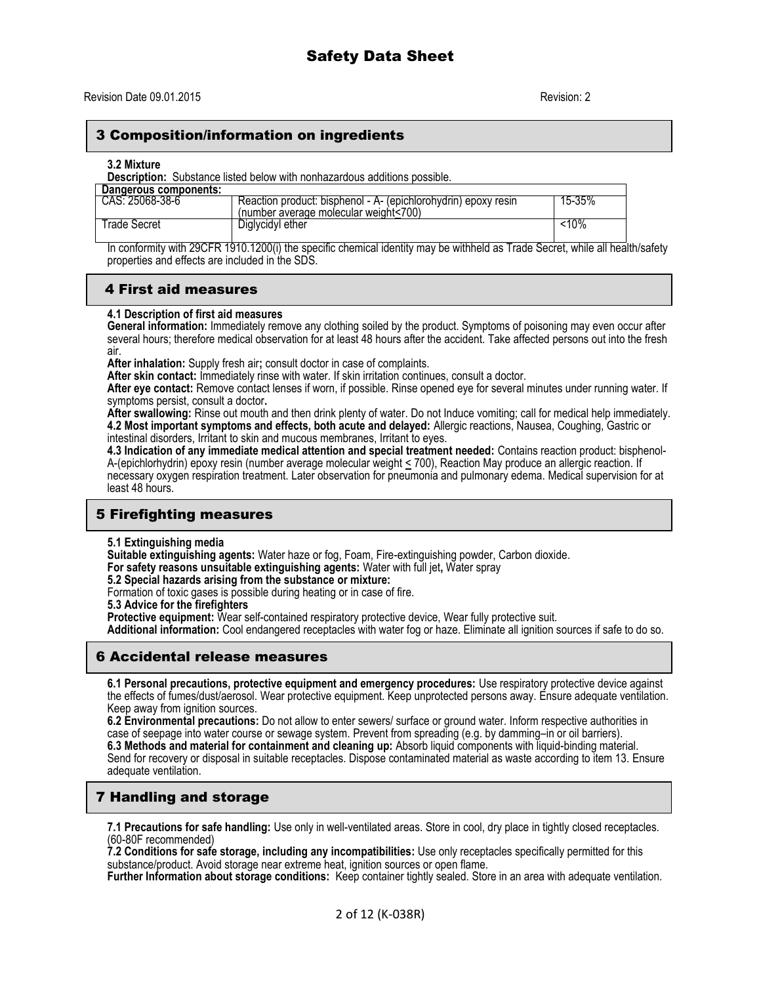## 3 Composition/information on ingredients

#### **3.2 Mixture**

**Description:** Substance listed below with nonhazardous additions possible.

| Dangerous components: |                                                                                                         |        |
|-----------------------|---------------------------------------------------------------------------------------------------------|--------|
| CAS: 25068-38-6       | Reaction product: bisphenol - A- (epichlorohydrin) epoxy resin<br>(number average molecular weight<700) | 15-35% |
| ⊺rade Secret          | Diglycidyl ether                                                                                        | 10%    |

In conformity with 29CFR 1910.1200(i) the specific chemical identity may be withheld as Trade Secret, while all health/safety properties and effects are included in the SDS.

## 4 First aid measures

### **4.1 Description of first aid measures**

**General information:** Immediately remove any clothing soiled by the product. Symptoms of poisoning may even occur after several hours; therefore medical observation for at least 48 hours after the accident. Take affected persons out into the fresh air.

**After inhalation:** Supply fresh air**;** consult doctor in case of complaints.

**After skin contact:** Immediately rinse with water. If skin irritation continues, consult a doctor.

**After eye contact:** Remove contact lenses if worn, if possible. Rinse opened eye for several minutes under running water. If symptoms persist, consult a doctor**.**

**After swallowing:** Rinse out mouth and then drink plenty of water. Do not Induce vomiting; call for medical help immediately. **4.2 Most important symptoms and effects, both acute and delayed:** Allergic reactions, Nausea, Coughing, Gastric or intestinal disorders, Irritant to skin and mucous membranes, Irritant to eyes.

**4.3 Indication of any immediate medical attention and special treatment needed:** Contains reaction product: bisphenol-A-(epichlorhydrin) epoxy resin (number average molecular weight < 700), Reaction May produce an allergic reaction. If necessary oxygen respiration treatment. Later observation for pneumonia and pulmonary edema. Medical supervision for at least 48 hours.

# 5 Firefighting measures

**5.1 Extinguishing media**

**Suitable extinguishing agents:** Water haze or fog, Foam, Fire-extinguishing powder, Carbon dioxide.

**For safety reasons unsuitable extinguishing agents:** Water with full jet**,** Water spray

**5.2 Special hazards arising from the substance or mixture:**

Formation of toxic gases is possible during heating or in case of fire.

**5.3 Advice for the firefighters**

**Protective equipment:** Wear self-contained respiratory protective device, Wear fully protective suit.

**Additional information:** Cool endangered receptacles with water fog or haze. Eliminate all ignition sources if safe to do so.

# 6 Accidental release measures

**6.1 Personal precautions, protective equipment and emergency procedures:** Use respiratory protective device against the effects of fumes/dust/aerosol. Wear protective equipment. Keep unprotected persons away. Ensure adequate ventilation. Keep away from ignition sources.

**6.2 Environmental precautions:** Do not allow to enter sewers/ surface or ground water. Inform respective authorities in case of seepage into water course or sewage system. Prevent from spreading (e.g. by damming–in or oil barriers). **6.3 Methods and material for containment and cleaning up:** Absorb liquid components with liquid-binding material.

Send for recovery or disposal in suitable receptacles. Dispose contaminated material as waste according to item 13. Ensure adequate ventilation.

# 7 Handling and storage

**7.1 Precautions for safe handling:** Use only in well-ventilated areas. Store in cool, dry place in tightly closed receptacles. (60-80F recommended)

**7.2 Conditions for safe storage, including any incompatibilities:** Use only receptacles specifically permitted for this substance/product. Avoid storage near extreme heat, ignition sources or open flame.

**Further Information about storage conditions:** Keep container tightly sealed. Store in an area with adequate ventilation.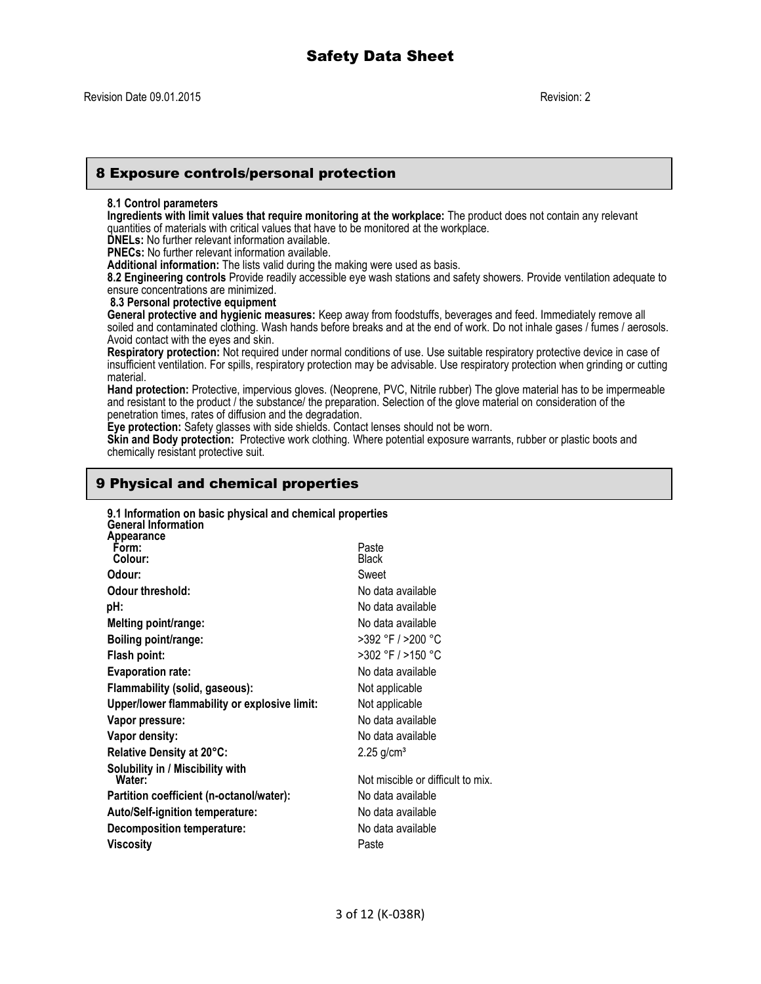## 8 Exposure controls/personal protection

#### **8.1 Control parameters**

**Ingredients with limit values that require monitoring at the workplace:** The product does not contain any relevant quantities of materials with critical values that have to be monitored at the workplace.

**DNELs:** No further relevant information available.

**PNECs:** No further relevant information available.

**Additional information:** The lists valid during the making were used as basis.

**8.2 Engineering controls** Provide readily accessible eye wash stations and safety showers. Provide ventilation adequate to ensure concentrations are minimized.

**8.3 Personal protective equipment**

**General protective and hygienic measures:** Keep away from foodstuffs, beverages and feed. Immediately remove all soiled and contaminated clothing. Wash hands before breaks and at the end of work. Do not inhale gases / fumes / aerosols. Avoid contact with the eyes and skin.

**Respiratory protection:** Not required under normal conditions of use. Use suitable respiratory protective device in case of insufficient ventilation. For spills, respiratory protection may be advisable. Use respiratory protection when grinding or cutting material.

**Hand protection:** Protective, impervious gloves. (Neoprene, PVC, Nitrile rubber) The glove material has to be impermeable and resistant to the product / the substance/ the preparation. Selection of the glove material on consideration of the penetration times, rates of diffusion and the degradation.

**Eye protection:** Safety glasses with side shields. Contact lenses should not be worn.

**Skin and Body protection:** Protective work clothing. Where potential exposure warrants, rubber or plastic boots and chemically resistant protective suit.

# 9 Physical and chemical properties

| 9.1 Information on basic physical and chemical properties<br><b>General Information</b> |                                   |
|-----------------------------------------------------------------------------------------|-----------------------------------|
| Appearance<br>Form:<br>Colour:                                                          | Paste<br><b>Black</b>             |
| Odour:                                                                                  | Sweet                             |
| Odour threshold:                                                                        | No data available                 |
| pH:                                                                                     | No data available                 |
| Melting point/range:                                                                    | No data available                 |
| Boiling point/range:                                                                    | >392 °F / >200 °C                 |
| Flash point:                                                                            | >302 °F / >150 °C                 |
| <b>Evaporation rate:</b>                                                                | No data available                 |
| Flammability (solid, gaseous):                                                          | Not applicable                    |
| Upper/lower flammability or explosive limit:                                            | Not applicable                    |
| Vapor pressure:                                                                         | No data available                 |
| Vapor density:                                                                          | No data available                 |
| Relative Density at 20°C:                                                               | $2.25$ g/cm <sup>3</sup>          |
| Solubility in / Miscibility with<br>Water:                                              | Not miscible or difficult to mix. |
| Partition coefficient (n-octanol/water):                                                | No data available                 |
| <b>Auto/Self-ignition temperature:</b>                                                  | No data available                 |
| Decomposition temperature:                                                              | No data available                 |
| Viscosity                                                                               | Paste                             |
|                                                                                         |                                   |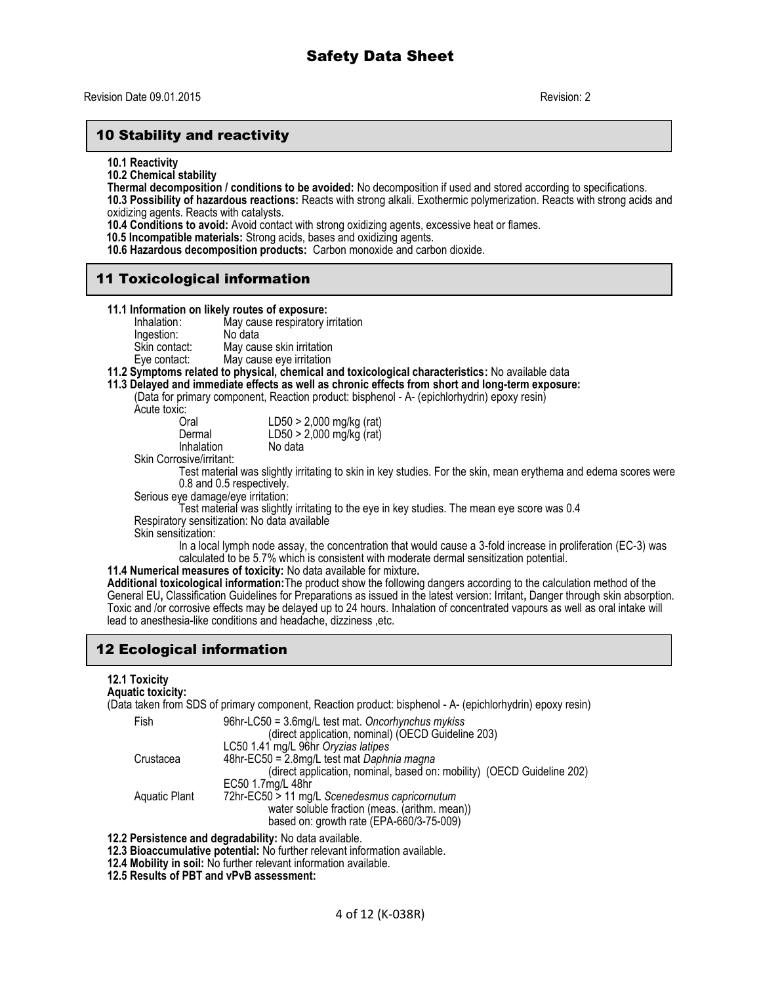# 10 Stability and reactivity

**10.1 Reactivity**

**10.2 Chemical stability**

**Thermal decomposition / conditions to be avoided:** No decomposition if used and stored according to specifications.

**10.3 Possibility of hazardous reactions:** Reacts with strong alkali. Exothermic polymerization. Reacts with strong acids and oxidizing agents. Reacts with catalysts.

**10.4 Conditions to avoid:** Avoid contact with strong oxidizing agents, excessive heat or flames.

 **10.5 Incompatible materials:** Strong acids, bases and oxidizing agents.

**10.6 Hazardous decomposition products:** Carbon monoxide and carbon dioxide.

# 11 Toxicological information

#### **11.1 Information on likely routes of exposure:**

| Inhalation:   | May cause respiratory irritation |
|---------------|----------------------------------|
| Ingestion:    | No data                          |
| Skin contact: | May cause skin irritation        |
| Eye contact:  | May cause eye irritation         |

### **11.2 Symptoms related to physical, chemical and toxicological characteristics:** No available data

## **11.3 Delayed and immediate effects as well as chronic effects from short and long-term exposure:**

(Data for primary component, Reaction product: bisphenol - A- (epichlorhydrin) epoxy resin)

Acute toxic:

| Oral       | $LD50 > 2,000$ mg/kg (rat) |
|------------|----------------------------|
| Dermal     | $LD50 > 2,000$ mg/kg (rat) |
| Inhalation | No data                    |

Skin Corrosive/irritant:

Test material was slightly irritating to skin in key studies. For the skin, mean erythema and edema scores were 0.8 and 0.5 respectively.

Serious eye damage/eye irritation:

Test material was slightly irritating to the eye in key studies. The mean eye score was 0.4

Respiratory sensitization: No data available

Skin sensitization:

In a local lymph node assay, the concentration that would cause a 3-fold increase in proliferation (EC-3) was calculated to be 5.7% which is consistent with moderate dermal sensitization potential.

**11.4 Numerical measures of toxicity:** No data available for mixture**.**

**Additional toxicological information:**The product show the following dangers according to the calculation method of the General EU**,** Classification Guidelines for Preparations as issued in the latest version: Irritant**,** Danger through skin absorption. Toxic and /or corrosive effects may be delayed up to 24 hours. Inhalation of concentrated vapours as well as oral intake will lead to anesthesia-like conditions and headache, dizziness ,etc.

# 12 Ecological information

## **12.1 Toxicity**

**Aquatic toxicity:**

(Data taken from SDS of primary component, Reaction product: bisphenol - A- (epichlorhydrin) epoxy resin)

| Fish          | 96hr-LC50 = 3.6mg/L test mat. Oncorhynchus mykiss                      |
|---------------|------------------------------------------------------------------------|
|               | (direct application, nominal) (OECD Guideline 203)                     |
|               | LC50 1.41 mg/L 96hr Oryzias latipes                                    |
| Crustacea     | 48hr-EC50 = 2.8mg/L test mat Daphnia magna                             |
|               | (direct application, nominal, based on: mobility) (OECD Guideline 202) |
|               | EC50 1.7mg/L 48hr                                                      |
| Aquatic Plant | 72hr-EC50 > 11 mg/L Scenedesmus capricornutum                          |
|               | water soluble fraction (meas. (arithm. mean))                          |
|               | based on: growth rate (EPA-660/3-75-009)                               |

**12.2 Persistence and degradability:** No data available.

- **12.3 Bioaccumulative potential:** No further relevant information available.
- **12.4 Mobility in soil:** No further relevant information available.

**12.5 Results of PBT and vPvB assessment:**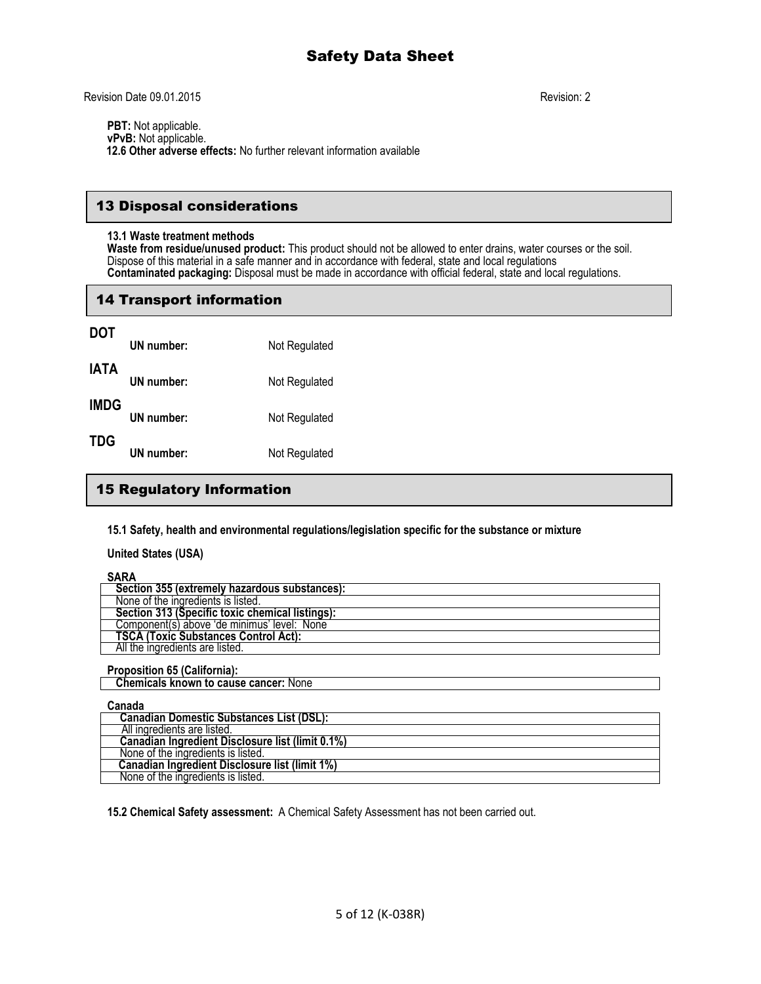**PBT:** Not applicable. **vPvB:** Not applicable.  **12.6 Other adverse effects:** No further relevant information available

## 13 Disposal considerations

#### **13.1 Waste treatment methods**

**Waste from residue/unused product:** This product should not be allowed to enter drains, water courses or the soil. Dispose of this material in a safe manner and in accordance with federal, state and local regulations **Contaminated packaging:** Disposal must be made in accordance with official federal, state and local regulations.

# 14 Transport information

| <b>DOT</b>  |            |               |
|-------------|------------|---------------|
|             | UN number: | Not Regulated |
| <b>IATA</b> | UN number: | Not Regulated |
| <b>IMDG</b> | UN number: | Not Regulated |
| <b>TDG</b>  | UN number: | Not Regulated |

# 15 Regulatory Information

**15.1 Safety, health and environmental regulations/legislation specific for the substance or mixture**

**United States (USA)**

**SARA**

| ------                                          |
|-------------------------------------------------|
| Section 355 (extremely hazardous substances):   |
| None of the ingredients is listed.              |
| Section 313 (Specific toxic chemical listings): |
| Component(s) above 'de minimus' level: None     |
| <b>TSCA (Toxic Substances Control Act):</b>     |
| All the ingredients are listed.                 |
|                                                 |

**Proposition 65 (California): Chemicals known to cause cancer: None** 

**Canada**

| vanaua                                           |
|--------------------------------------------------|
| <b>Canadian Domestic Substances List (DSL):</b>  |
| All ingredients are listed.                      |
| Canadian Ingredient Disclosure list (limit 0.1%) |
| None of the ingredients is listed.               |
| Canadian Ingredient Disclosure list (limit 1%)   |
| None of the ingredients is listed.               |

**15.2 Chemical Safety assessment:** A Chemical Safety Assessment has not been carried out.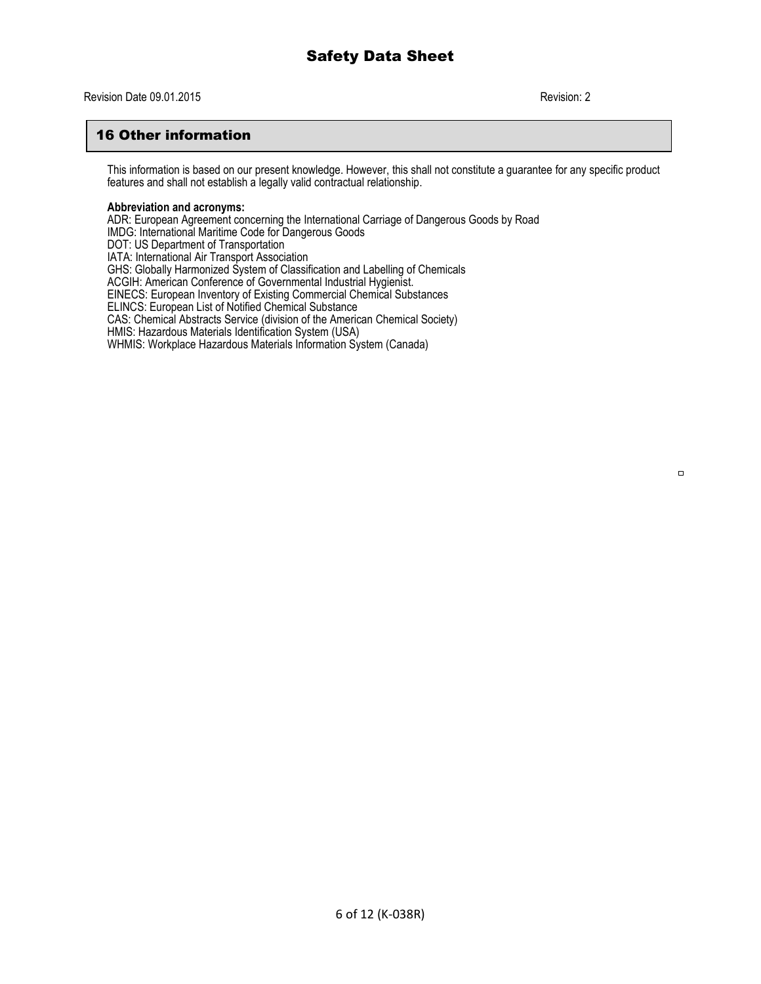# 16 Other information

This information is based on our present knowledge. However, this shall not constitute a guarantee for any specific product features and shall not establish a legally valid contractual relationship.

#### **Abbreviation and acronyms:**

ADR: European Agreement concerning the International Carriage of Dangerous Goods by Road IMDG: International Maritime Code for Dangerous Goods DOT: US Department of Transportation IATA: International Air Transport Association GHS: Globally Harmonized System of Classification and Labelling of Chemicals ACGIH: American Conference of Governmental Industrial Hygienist. EINECS: European Inventory of Existing Commercial Chemical Substances ELINCS: European List of Notified Chemical Substance CAS: Chemical Abstracts Service (division of the American Chemical Society) HMIS: Hazardous Materials Identification System (USA) WHMIS: Workplace Hazardous Materials Information System (Canada)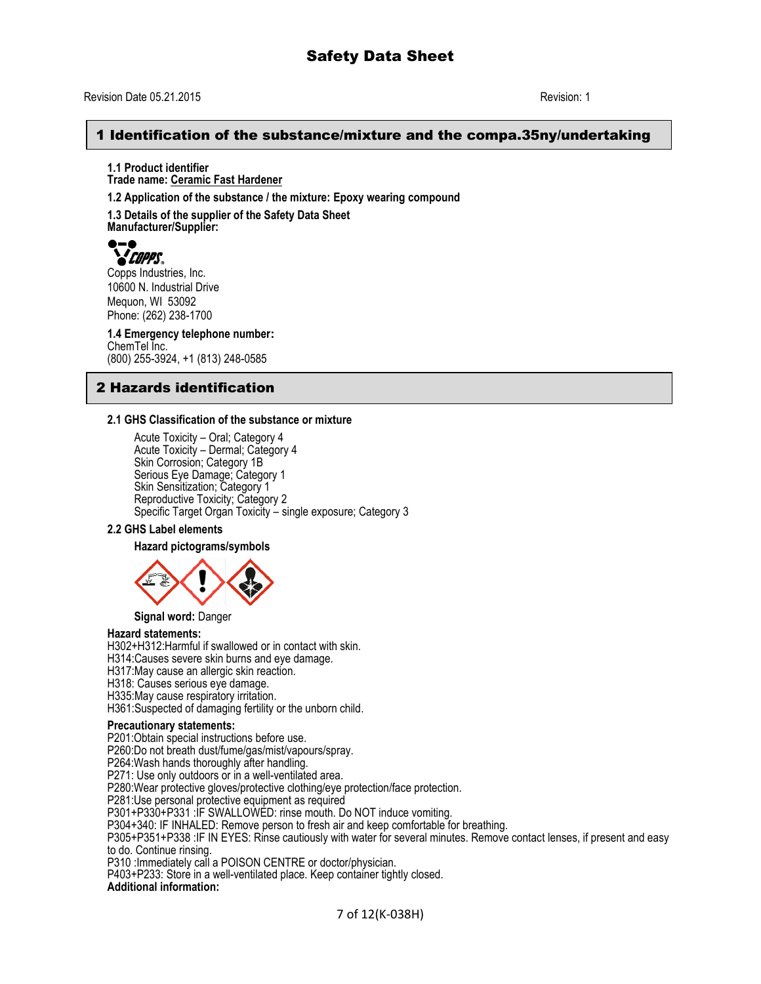## 1 Identification of the substance/mixture and the compa.35ny/undertaking

**1.1 Product identifier Trade name: Ceramic Fast Hardener**

**1.2 Application of the substance / the mixture: Epoxy wearing compound**

**1.3 Details of the supplier of the Safety Data Sheet Manufacturer/Supplier:**



Copps Industries, Inc. 10600 N. Industrial Drive Mequon, WI 53092 Phone: (262) 238-1700

**1.4 Emergency telephone number:** ChemTel Inc. (800) 255-3924, +1 (813) 248-0585

# 2 Hazards identification

### **2.1 GHS Classification of the substance or mixture**

Acute Toxicity – Oral; Category 4 Acute Toxicity – Dermal; Category 4 Skin Corrosion; Category 1B Serious Eye Damage; Category 1 Skin Sensitization; Category 1 Reproductive Toxicity; Category 2 Specific Target Organ Toxicity – single exposure; Category 3

### **2.2 GHS Label elements**

**Hazard pictograms/symbols**



**Signal word:** Danger

### **Hazard statements:**

H302+H312:Harmful if swallowed or in contact with skin.

H314:Causes severe skin burns and eye damage.

H317:May cause an allergic skin reaction.

H318: Causes serious eye damage.

H335:May cause respiratory irritation.

H361:Suspected of damaging fertility or the unborn child.

#### **Precautionary statements:**

P201:Obtain special instructions before use.

P260:Do not breath dust/fume/gas/mist/vapours/spray.

P264:Wash hands thoroughly after handling.

P271: Use only outdoors or in a well-ventilated area.

P280:Wear protective gloves/protective clothing/eye protection/face protection.

P281:Use personal protective equipment as required

P301+P330+P331 :IF SWALLOWED: rinse mouth. Do NOT induce vomiting.

P304+340: IF INHALED: Remove person to fresh air and keep comfortable for breathing.

P305+P351+P338 :IF IN EYES: Rinse cautiously with water for several minutes. Remove contact lenses, if present and easy to do. Continue rinsing.

P310 :Immediately call a POISON CENTRE or doctor/physician.

P403+P233: Store in a well-ventilated place. Keep container tightly closed.

#### **Additional information:**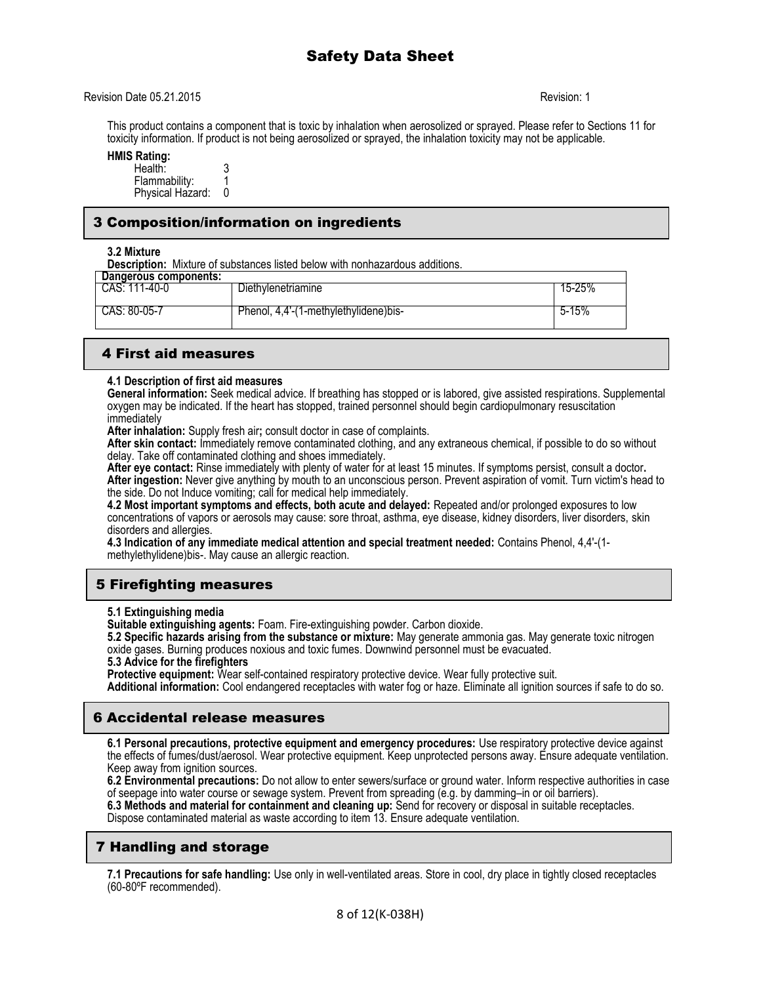### Revision Date 05.21.2015 Revision: 1

This product contains a component that is toxic by inhalation when aerosolized or sprayed. Please refer to Sections 11 for toxicity information. If product is not being aerosolized or sprayed, the inhalation toxicity may not be applicable.

#### **HMIS Rating:**

| Health:          |  |
|------------------|--|
| Flammability:    |  |
| Physical Hazard: |  |

## 3 Composition/information on ingredients

#### **3.2 Mixture**

**Description:** Mixture of substances listed below with nonhazardous additions.

| Dangerous components: |                                       |        |
|-----------------------|---------------------------------------|--------|
| CAS: 111-40-0         | Diethvlenetriamine                    | 15-25% |
| CAS: 80-05-7          | Phenol, 4,4'-(1-methylethylidene)bis- | 5-15%  |

## 4 First aid measures

#### **4.1 Description of first aid measures**

**General information:** Seek medical advice. If breathing has stopped or is labored, give assisted respirations. Supplemental oxygen may be indicated. If the heart has stopped, trained personnel should begin cardiopulmonary resuscitation immediately

**After inhalation:** Supply fresh air**;** consult doctor in case of complaints.

**After skin contact:** Immediately remove contaminated clothing, and any extraneous chemical, if possible to do so without delay. Take off contaminated clothing and shoes immediately.

**After eye contact:** Rinse immediately with plenty of water for at least 15 minutes. If symptoms persist, consult a doctor**. After ingestion:** Never give anything by mouth to an unconscious person. Prevent aspiration of vomit. Turn victim's head to the side. Do not Induce vomiting; call for medical help immediately.

**4.2 Most important symptoms and effects, both acute and delayed:** Repeated and/or prolonged exposures to low concentrations of vapors or aerosols may cause: sore throat, asthma, eye disease, kidney disorders, liver disorders, skin disorders and allergies.

**4.3 Indication of any immediate medical attention and special treatment needed:** Contains Phenol, 4,4'-(1 methylethylidene)bis-. May cause an allergic reaction.

# 5 Firefighting measures

### **5.1 Extinguishing media**

**Suitable extinguishing agents:** Foam. Fire-extinguishing powder. Carbon dioxide.

**5.2 Specific hazards arising from the substance or mixture:** May generate ammonia gas. May generate toxic nitrogen oxide gases. Burning produces noxious and toxic fumes. Downwind personnel must be evacuated.

**5.3 Advice for the firefighters**

Protective equipment: Wear self-contained respiratory protective device. Wear fully protective suit.

**Additional information:** Cool endangered receptacles with water fog or haze. Eliminate all ignition sources if safe to do so.

# 6 Accidental release measures

**6.1 Personal precautions, protective equipment and emergency procedures:** Use respiratory protective device against the effects of fumes/dust/aerosol. Wear protective equipment. Keep unprotected persons away. Ensure adequate ventilation. Keep away from ignition sources.

**6.2 Environmental precautions:** Do not allow to enter sewers/surface or ground water. Inform respective authorities in case of seepage into water course or sewage system. Prevent from spreading (e.g. by damming–in or oil barriers).

**6.3 Methods and material for containment and cleaning up:** Send for recovery or disposal in suitable receptacles. Dispose contaminated material as waste according to item 13. Ensure adequate ventilation.

# 7 Handling and storage

**7.1 Precautions for safe handling:** Use only in well-ventilated areas. Store in cool, dry place in tightly closed receptacles (60-80ºF recommended).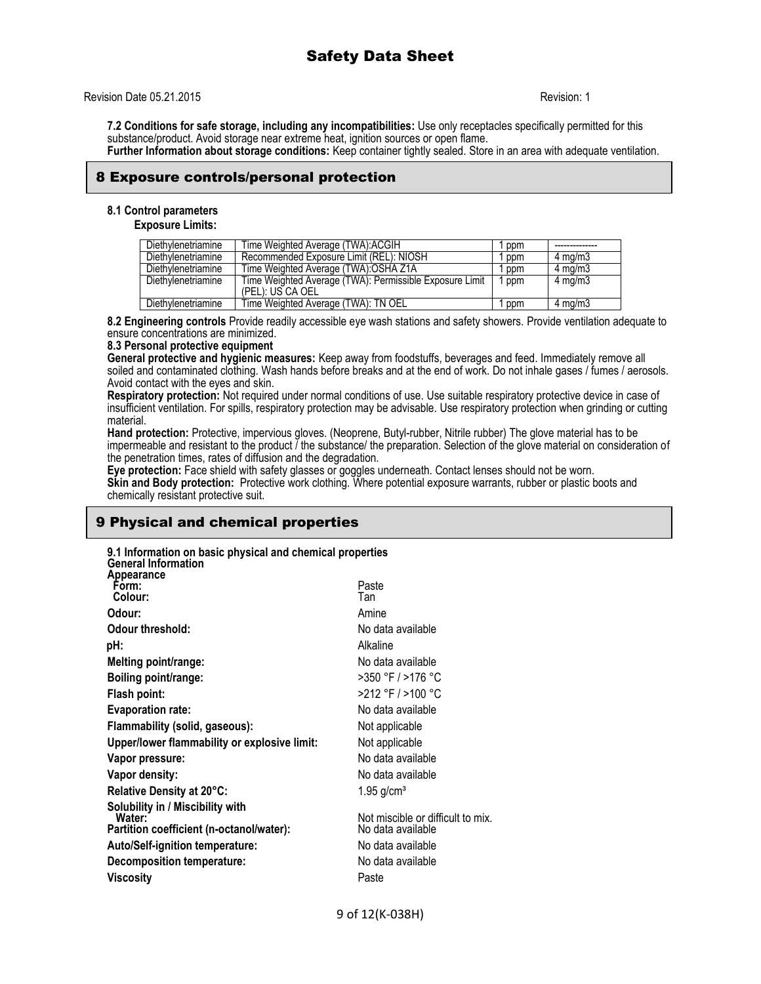## Revision Date 05.21.2015 **Revision: 1**

**7.2 Conditions for safe storage, including any incompatibilities:** Use only receptacles specifically permitted for this substance/product. Avoid storage near extreme heat, ignition sources or open flame. **Further Information about storage conditions:** Keep container tightly sealed. Store in an area with adequate ventilation.

8 Exposure controls/personal protection

## **8.1 Control parameters**

**Exposure Limits:**

| Diethylenetriamine | Time Weighted Average (TWA): ACGIH                                          | ppm |                    |
|--------------------|-----------------------------------------------------------------------------|-----|--------------------|
| Diethylenetriamine | Recommended Exposure Limit (REL): NIOSH                                     | ppm | $4 \text{ ma/m}$ 3 |
| Diethylenetriamine | Time Weighted Average (TWA): OSHA Z1A                                       | ppm | $4 \text{ mg/m}$   |
| Diethylenetriamine | Time Weighted Average (TWA): Permissible Exposure Limit<br>(PEL): US CA OEL | ppm | $4 \text{ mg/m}$   |
| Diethylenetriamine | Time Weighted Average (TWA): TN OEL                                         | ppm | $4 \text{ ma/m}$ 3 |

**8.2 Engineering controls** Provide readily accessible eye wash stations and safety showers. Provide ventilation adequate to ensure concentrations are minimized.

#### **8.3 Personal protective equipment**

**General protective and hygienic measures:** Keep away from foodstuffs, beverages and feed. Immediately remove all soiled and contaminated clothing. Wash hands before breaks and at the end of work. Do not inhale gases / fumes / aerosols. Avoid contact with the eyes and skin.

**Respiratory protection:** Not required under normal conditions of use. Use suitable respiratory protective device in case of insufficient ventilation. For spills, respiratory protection may be advisable. Use respiratory protection when grinding or cutting material.

**Hand protection:** Protective, impervious gloves. (Neoprene, Butyl-rubber, Nitrile rubber) The glove material has to be impermeable and resistant to the product / the substance/ the preparation. Selection of the glove material on consideration of the penetration times, rates of diffusion and the degradation.

**Eye protection:** Face shield with safety glasses or goggles underneath. Contact lenses should not be worn. **Skin and Body protection:** Protective work clothing. Where potential exposure warrants, rubber or plastic boots and chemically resistant protective suit.

## 9 Physical and chemical properties

| 9.1 Information on basic physical and chemical properties |                                                                                                                                                                                                                                                                                                                                                                                                                                        |
|-----------------------------------------------------------|----------------------------------------------------------------------------------------------------------------------------------------------------------------------------------------------------------------------------------------------------------------------------------------------------------------------------------------------------------------------------------------------------------------------------------------|
|                                                           | Paste<br>Tan                                                                                                                                                                                                                                                                                                                                                                                                                           |
|                                                           | Amine                                                                                                                                                                                                                                                                                                                                                                                                                                  |
|                                                           | No data available                                                                                                                                                                                                                                                                                                                                                                                                                      |
|                                                           | Alkaline                                                                                                                                                                                                                                                                                                                                                                                                                               |
|                                                           | No data available                                                                                                                                                                                                                                                                                                                                                                                                                      |
|                                                           | >350 °F / >176 °C                                                                                                                                                                                                                                                                                                                                                                                                                      |
|                                                           | >212 °F / >100 °C                                                                                                                                                                                                                                                                                                                                                                                                                      |
|                                                           | No data available                                                                                                                                                                                                                                                                                                                                                                                                                      |
|                                                           | Not applicable                                                                                                                                                                                                                                                                                                                                                                                                                         |
|                                                           | Not applicable                                                                                                                                                                                                                                                                                                                                                                                                                         |
|                                                           | No data available                                                                                                                                                                                                                                                                                                                                                                                                                      |
|                                                           | No data available                                                                                                                                                                                                                                                                                                                                                                                                                      |
|                                                           | $1.95$ g/cm <sup>3</sup>                                                                                                                                                                                                                                                                                                                                                                                                               |
|                                                           | Not miscible or difficult to mix.                                                                                                                                                                                                                                                                                                                                                                                                      |
|                                                           | No data available                                                                                                                                                                                                                                                                                                                                                                                                                      |
|                                                           | No data available                                                                                                                                                                                                                                                                                                                                                                                                                      |
|                                                           | No data available                                                                                                                                                                                                                                                                                                                                                                                                                      |
|                                                           | Paste                                                                                                                                                                                                                                                                                                                                                                                                                                  |
|                                                           | <b>General Information</b><br>Odour threshold:<br>Melting point/range:<br>Boiling point/range:<br><b>Evaporation rate:</b><br>Flammability (solid, gaseous):<br>Upper/lower flammability or explosive limit:<br>Vapor pressure:<br>Vapor density:<br>Relative Density at 20°C:<br>Solubility in / Miscibility with<br>Partition coefficient (n-octanol/water):<br>Auto/Self-ignition temperature:<br><b>Decomposition temperature:</b> |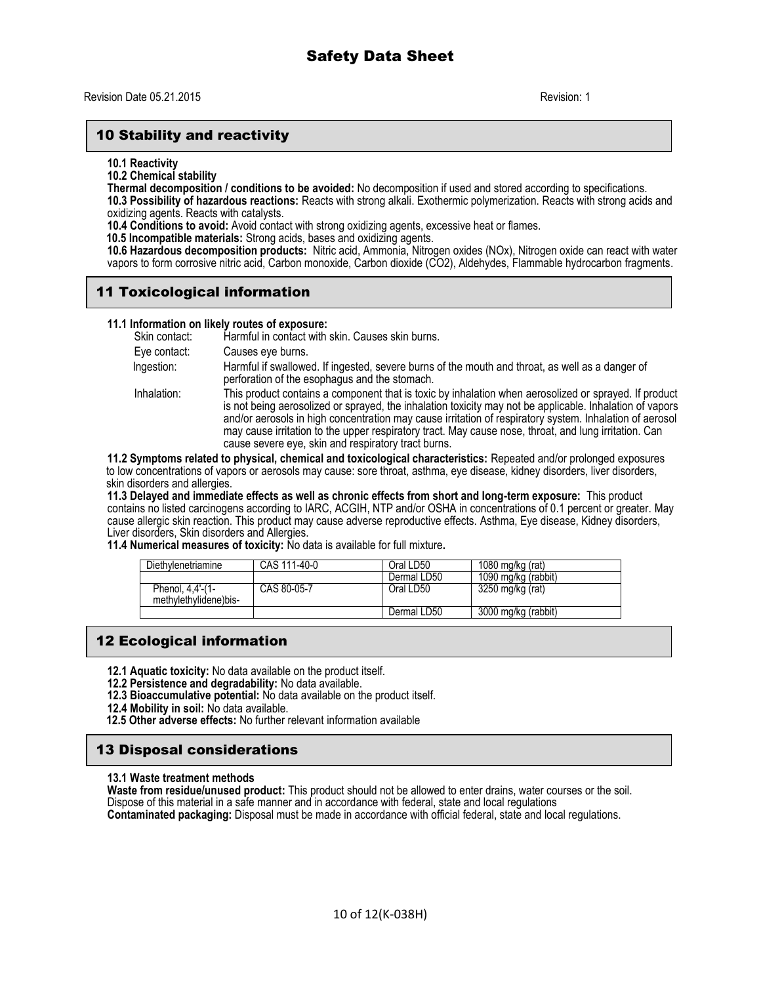## 10 Stability and reactivity

**10.1 Reactivity**

**10.2 Chemical stability**

**Thermal decomposition / conditions to be avoided:** No decomposition if used and stored according to specifications. **10.3 Possibility of hazardous reactions:** Reacts with strong alkali. Exothermic polymerization. Reacts with strong acids and

oxidizing agents. Reacts with catalysts.

**10.4 Conditions to avoid:** Avoid contact with strong oxidizing agents, excessive heat or flames.

 **10.5 Incompatible materials:** Strong acids, bases and oxidizing agents.

**10.6 Hazardous decomposition products:** Nitric acid, Ammonia, Nitrogen oxides (NOx), Nitrogen oxide can react with water vapors to form corrosive nitric acid, Carbon monoxide, Carbon dioxide (CO2), Aldehydes, Flammable hydrocarbon fragments.

# 11 Toxicological information

### **11.1 Information on likely routes of exposure:**

| Skin contact: | Harmful in contact with skin. Causes skin burns.                                                                                                                                                                                                                                                                                                                                                                                                                                             |
|---------------|----------------------------------------------------------------------------------------------------------------------------------------------------------------------------------------------------------------------------------------------------------------------------------------------------------------------------------------------------------------------------------------------------------------------------------------------------------------------------------------------|
| Eye contact:  | Causes eye burns.                                                                                                                                                                                                                                                                                                                                                                                                                                                                            |
| Ingestion:    | Harmful if swallowed. If ingested, severe burns of the mouth and throat, as well as a danger of<br>perforation of the esophagus and the stomach.                                                                                                                                                                                                                                                                                                                                             |
| Inhalation:   | This product contains a component that is toxic by inhalation when aerosolized or sprayed. If product<br>is not being aerosolized or sprayed, the inhalation toxicity may not be applicable. Inhalation of vapors<br>and/or aerosols in high concentration may cause irritation of respiratory system. Inhalation of aerosol<br>may cause irritation to the upper respiratory tract. May cause nose, throat, and lung irritation. Can<br>cause severe eye, skin and respiratory tract burns. |
|               | an Disemperature of behind the project of the probability of the property of the Department of the property of the property of the property of the property of the property of the property of the property of the property of                                                                                                                                                                                                                                                               |

**11.2 Symptoms related to physical, chemical and toxicological characteristics:** Repeated and/or prolonged exposures to low concentrations of vapors or aerosols may cause: sore throat, asthma, eye disease, kidney disorders, liver disorders, skin disorders and allergies.

**11.3 Delayed and immediate effects as well as chronic effects from short and long-term exposure:** This product contains no listed carcinogens according to IARC, ACGIH, NTP and/or OSHA in concentrations of 0.1 percent or greater. May cause allergic skin reaction. This product may cause adverse reproductive effects. Asthma, Eye disease, Kidney disorders, Liver disorders, Skin disorders and Allergies.

**11.4 Numerical measures of toxicity:** No data is available for full mixture**.** 

| Diethylenetriamine                        | CAS 111-40-0 | Oral LD50   | 1080 mg/kg $(rat)$  |
|-------------------------------------------|--------------|-------------|---------------------|
|                                           |              | Dermal LD50 | 1090 mg/kg (rabbit) |
| Phenol, 4,4'-(1-<br>methylethylidene)bis- | CAS 80-05-7  | Oral LD50   | 3250 mg/kg (rat)    |
|                                           |              | Dermal LD50 | 3000 mg/kg (rabbit) |

# 12 Ecological information

- **12.1 Aquatic toxicity:** No data available on the product itself.
- **12.2 Persistence and degradability:** No data available.
- **12.3 Bioaccumulative potential:** No data available on the product itself.
- **12.4 Mobility in soil:** No data available.
- **12.5 Other adverse effects:** No further relevant information available

## 13 Disposal considerations

#### **13.1 Waste treatment methods**

**Waste from residue/unused product:** This product should not be allowed to enter drains, water courses or the soil. Dispose of this material in a safe manner and in accordance with federal, state and local regulations **Contaminated packaging:** Disposal must be made in accordance with official federal, state and local regulations.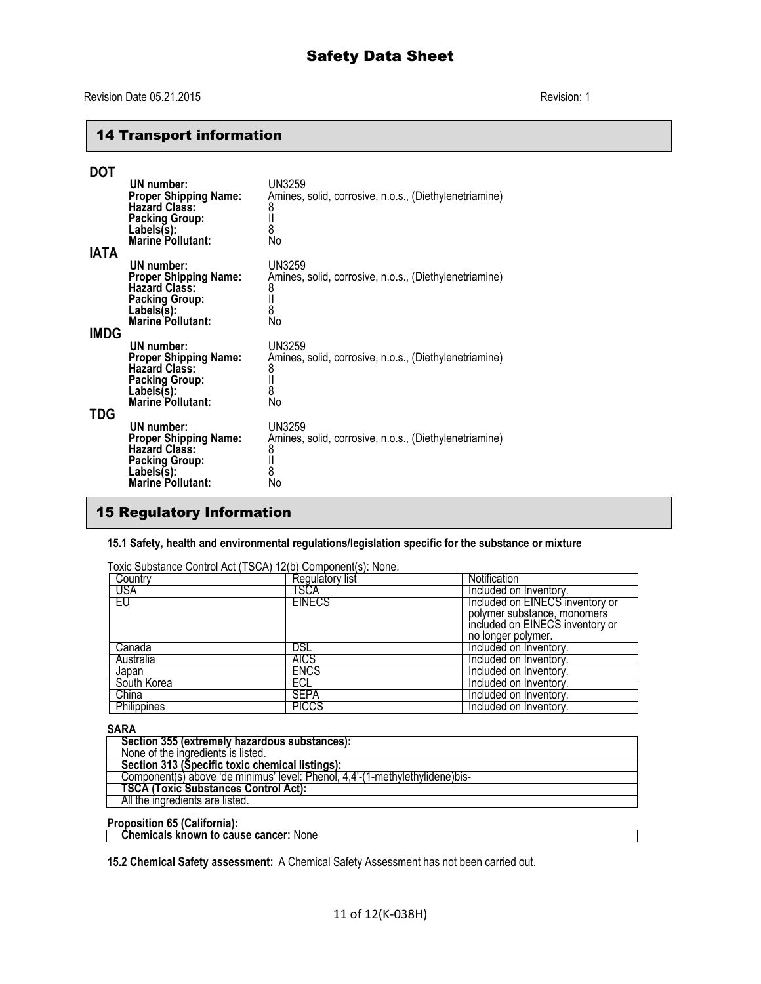# Safety Data Sheet

# 14 Transport information

| DOT<br><b>IATA</b> | UN number:<br><b>Proper Shipping Name:</b><br><b>Hazard Class:</b><br><b>Packing Group:</b><br>Labels(s):<br>Marine Pollutant:        | UN3259<br>Amines, solid, corrosive, n.o.s., (Diethylenetriamine)<br>8<br>$\mathsf{II}$<br>8<br>No |
|--------------------|---------------------------------------------------------------------------------------------------------------------------------------|---------------------------------------------------------------------------------------------------|
|                    | UN number:<br><b>Proper Shipping Name:</b><br><b>Hazard Class:</b><br><b>Packing Group:</b><br>Labels(s):<br><b>Marine Pollutant:</b> | UN3259<br>Amines, solid, corrosive, n.o.s., (Diethylenetriamine)<br>8<br>$\mathsf{II}$<br>8<br>No |
| <b>IMDG</b><br>TDG | UN number:<br><b>Proper Shipping Name:</b><br><b>Hazard Class:</b><br><b>Packing Group:</b><br>Lables(s):<br><b>Marine Pollutant:</b> | UN3259<br>Amines, solid, corrosive, n.o.s., (Diethylenetriamine)<br>8<br>$\mathsf{II}$<br>8<br>No |
|                    | UN number:<br>Proper Shipping Name:<br>Hazard Class:<br><b>Packing Group:</b><br>Labels(s):<br><b>Marine Pollutant:</b>               | UN3259<br>Amines, solid, corrosive, n.o.s., (Diethylenetriamine)<br>8<br>$\mathbf l$<br>8<br>No   |

# 15 Regulatory Information

## **15.1 Safety, health and environmental regulations/legislation specific for the substance or mixture**

| Toxic Substance Control Act (TSCA) 12(b) Component(s): None. |                 |                                 |  |  |  |  |
|--------------------------------------------------------------|-----------------|---------------------------------|--|--|--|--|
| Country                                                      | Regulatory list | <b>Notification</b>             |  |  |  |  |
| USA                                                          | TSCA            | Included on Inventory.          |  |  |  |  |
| EU                                                           | <b>EINECS</b>   | Included on EINECS inventory or |  |  |  |  |
|                                                              |                 | polymer substance, monomers     |  |  |  |  |
|                                                              |                 | included on EINECS inventory or |  |  |  |  |
|                                                              |                 | no longer polymer.              |  |  |  |  |
| Canada                                                       | DSL             | Included on Inventory.          |  |  |  |  |
| Australia                                                    | <b>AICS</b>     | Included on Inventory.          |  |  |  |  |
| Japan                                                        | <b>ENCS</b>     | Included on Inventory.          |  |  |  |  |
| South Korea                                                  | ECL             | Included on Inventory.          |  |  |  |  |
| China                                                        | <b>SEPA</b>     | Included on Inventory.          |  |  |  |  |
| <b>Philippines</b>                                           | <b>PICCS</b>    | Included on Inventory.          |  |  |  |  |

### **SARA**

| Section 355 (extremely hazardous substances):                                 |
|-------------------------------------------------------------------------------|
| None of the ingredients is listed.                                            |
| Section 313 (Specific toxic chemical listings):                               |
| Component(s) above 'de minimus' level: Phenol, 4,4'-(1-methylethylidene) bis- |
| <b>TSCA (Toxic Substances Control Act):</b>                                   |
| All the ingredients are listed.                                               |
|                                                                               |

#### **Proposition 65 (California):**

 **Chemicals known to cause cancer:** None

**15.2 Chemical Safety assessment:** A Chemical Safety Assessment has not been carried out.